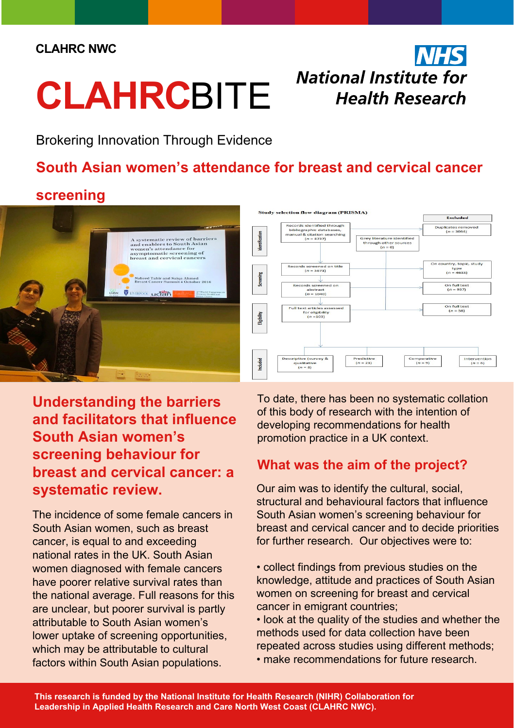#### **CLAHRC NWC**

# **CLAHRC**BITE

# **NHS National Institute for Health Research**

Brokering Innovation Through Evidence

# **South Asian women's attendance for breast and cervical cancer**

### **screening**





**Understanding the barriers and facilitators that influence South Asian women's screening behaviour for breast and cervical cancer: a systematic review.**

The incidence of some female cancers in South Asian women, such as breast cancer, is equal to and exceeding national rates in the UK. South Asian women diagnosed with female cancers have poorer relative survival rates than the national average. Full reasons for this are unclear, but poorer survival is partly attributable to South Asian women's lower uptake of screening opportunities, which may be attributable to cultural factors within South Asian populations.

To date, there has been no systematic collation of this body of research with the intention of developing recommendations for health promotion practice in a UK context.

#### **What was the aim of the project?**

Our aim was to identify the cultural, social, structural and behavioural factors that influence South Asian women's screening behaviour for breast and cervical cancer and to decide priorities for further research. Our objectives were to:

• collect findings from previous studies on the knowledge, attitude and practices of South Asian women on screening for breast and cervical cancer in emigrant countries;

• look at the quality of the studies and whether the methods used for data collection have been repeated across studies using different methods; • make recommendations for future research.

**This research is funded by the National Institute for Health Research (NIHR) Collaboration for Leadership in Applied Health Research and Care North West Coast (CLAHRC NWC).**